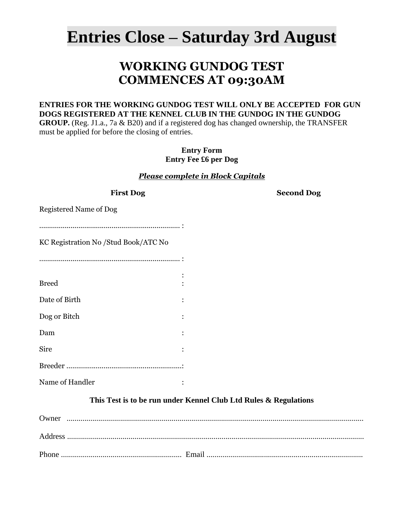# **Entries Close – Saturday 3rd August**

# **WORKING GUNDOG TEST COMMENCES AT 09:30AM**

### **ENTRIES FOR THE WORKING GUNDOG TEST WILL ONLY BE ACCEPTED FOR GUN DOGS REGISTERED AT THE KENNEL CLUB IN THE GUNDOG IN THE GUNDOG**

**GROUP.** (Reg. J1.a., 7a & B20) and if a registered dog has changed ownership, the TRANSFER must be applied for before the closing of entries.

> **Entry Form Entry Fee £6 per Dog**

#### *Please complete in Block Capitals*

| <b>First Dog</b>                     | <b>Second Dog</b>                                                |
|--------------------------------------|------------------------------------------------------------------|
| <b>Registered Name of Dog</b>        |                                                                  |
|                                      |                                                                  |
| KC Registration No /Stud Book/ATC No |                                                                  |
|                                      |                                                                  |
|                                      |                                                                  |
| <b>Breed</b>                         |                                                                  |
| Date of Birth                        |                                                                  |
| Dog or Bitch                         |                                                                  |
| Dam                                  |                                                                  |
| Sire                                 |                                                                  |
|                                      |                                                                  |
| Name of Handler                      |                                                                  |
|                                      | This Test is to be run under Kennel Club Ltd Rules & Regulations |
|                                      |                                                                  |
|                                      |                                                                  |

Phone ............................................................. Email ...............................................................................